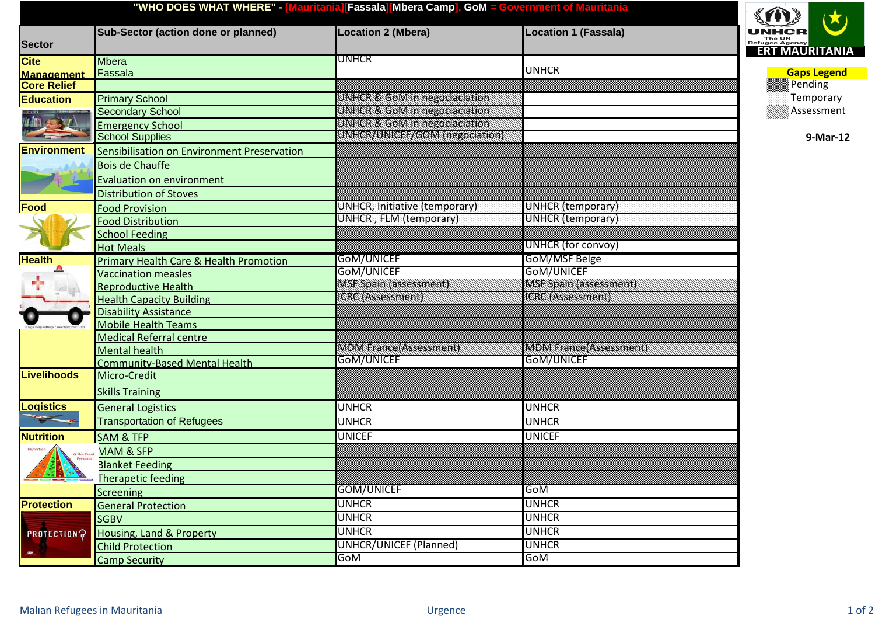| "WHO DOES WHAT WHERE" - [Mauritania][Fassala] Mbera Camp], GoM = Government of Mauritania |                                                   |                                           |                                              |                          |  |
|-------------------------------------------------------------------------------------------|---------------------------------------------------|-------------------------------------------|----------------------------------------------|--------------------------|--|
| <b>Sector</b>                                                                             | <b>Sub-Sector (action done or planned)</b>        | <b>Location 2 (Mbera)</b>                 | <b>Location 1 (Fassala)</b>                  | The UN<br>Refugee Agency |  |
| <b>Cite</b>                                                                               | <b>Mbera</b>                                      | UNHCR                                     |                                              | <b>ERT MAURITANIA</b>    |  |
| <b>Management</b>                                                                         | Fassala                                           |                                           | UNHCR                                        | <b>Gaps Legend</b>       |  |
| <b>Core Relief</b>                                                                        |                                                   |                                           |                                              | <b>Pending</b>           |  |
| <b>Education</b>                                                                          | <b>Primary School</b>                             | <u>ENNATORI VERNATION EZ ORIENTATION.</u> |                                              | Temporary                |  |
|                                                                                           | <b>Secondary School</b>                           | <u>UNACA YA GOMAN MEZOGARADAN</u>         |                                              | $\hat{\S}$ Assessment    |  |
|                                                                                           | <b>Emergency School</b>                           | <b>UNIKOR A CONTROLLERO BOBBOOK</b>       |                                              |                          |  |
|                                                                                           | <b>School Supplies</b>                            | <u>UNHCRYUNICERYGOMYRREGORIOON</u>        |                                              | 9-Mar-12                 |  |
| <b>Environment</b>                                                                        | Sensibilisation on Environment Preservation       |                                           |                                              |                          |  |
|                                                                                           | <b>Bois de Chauffe</b>                            |                                           |                                              |                          |  |
|                                                                                           | <b>Evaluation on environment</b>                  |                                           |                                              |                          |  |
|                                                                                           | <b>Distribution of Stoves</b>                     |                                           |                                              |                          |  |
| Food                                                                                      | <b>Food Provision</b>                             | UNHCR, Initiative (temporary)             | <b>UNHCR</b> (temporary)                     |                          |  |
|                                                                                           | <b>Food Distribution</b>                          | UNHCR, FLM (temporary)                    | <b>UNHCR</b> (temporary)                     |                          |  |
|                                                                                           | <b>School Feeding</b>                             |                                           |                                              |                          |  |
|                                                                                           | <b>Hot Meals</b>                                  |                                           | <b>UNHCR</b> (for convoy)                    |                          |  |
| <b>Health</b>                                                                             | <b>Primary Health Care &amp; Health Promotion</b> | GoM/UNICEF                                | GoM/MSF Belge                                |                          |  |
|                                                                                           | <b>Vaccination measles</b>                        | GoM/UNICEF                                | GoM/UNICEF                                   |                          |  |
|                                                                                           | <b>Reproductive Health</b>                        | <u> MEELERIA TEESEEMIKKE</u>              |                                              |                          |  |
|                                                                                           | <b>Health Capacity Building</b>                   |                                           | <b>1688 1999 1999 1999 1999</b>              |                          |  |
|                                                                                           | <b>Disability Assistance</b>                      |                                           |                                              |                          |  |
|                                                                                           | <b>Mobile Health Teams</b>                        |                                           |                                              |                          |  |
|                                                                                           | <b>Medical Referral centre</b>                    |                                           |                                              |                          |  |
|                                                                                           | <b>Mental health</b>                              | <b>MONARA ALABARAN ANY</b><br>GOM/UNICEF  | <b>MONA E SACE ALLE LEARER</b><br>GOM/UNICEF |                          |  |
|                                                                                           | <b>Community-Based Mental Health</b>              |                                           |                                              |                          |  |
| <b>Livelihoods</b><br><b>Logistics</b>                                                    | Micro-Credit                                      |                                           |                                              |                          |  |
|                                                                                           | <b>Skills Training</b>                            |                                           |                                              |                          |  |
|                                                                                           | <b>General Logistics</b>                          | <b>UNHCR</b>                              | <b>UNHCR</b>                                 |                          |  |
|                                                                                           | <b>Transportation of Refugees</b>                 | <b>UNHCR</b>                              | <b>UNHCR</b>                                 |                          |  |
| <b>Nutrition</b>                                                                          | <b>SAM &amp; TFP</b>                              | <b>UNICEF</b>                             | <b>UNICEF</b>                                |                          |  |
| & the Food                                                                                | <b>MAM &amp; SFP</b>                              |                                           |                                              |                          |  |
| <b>1243-8</b>                                                                             | <b>Blanket Feeding</b>                            |                                           |                                              |                          |  |
|                                                                                           | <b>Therapetic feeding</b>                         |                                           |                                              |                          |  |
|                                                                                           | <b>Screening</b>                                  | <b>GOM/UNICEF</b>                         | GoM                                          |                          |  |
| <b>Protection</b>                                                                         | <b>General Protection</b>                         | <b>UNHCR</b>                              | <b>UNHCR</b>                                 |                          |  |
|                                                                                           | <b>SGBV</b>                                       | <b>UNHCR</b>                              | <b>UNHCR</b>                                 |                          |  |
| <b>CHOTECTION</b>                                                                         | Housing, Land & Property                          | <b>UNHCR</b>                              | <b>UNHCR</b>                                 |                          |  |
|                                                                                           | <b>Child Protection</b>                           | <b>UNHCR/UNICEF (Planned)</b>             | <b>UNHCR</b>                                 |                          |  |
|                                                                                           | <b>Camp Security</b>                              | GoM                                       | GoM                                          |                          |  |